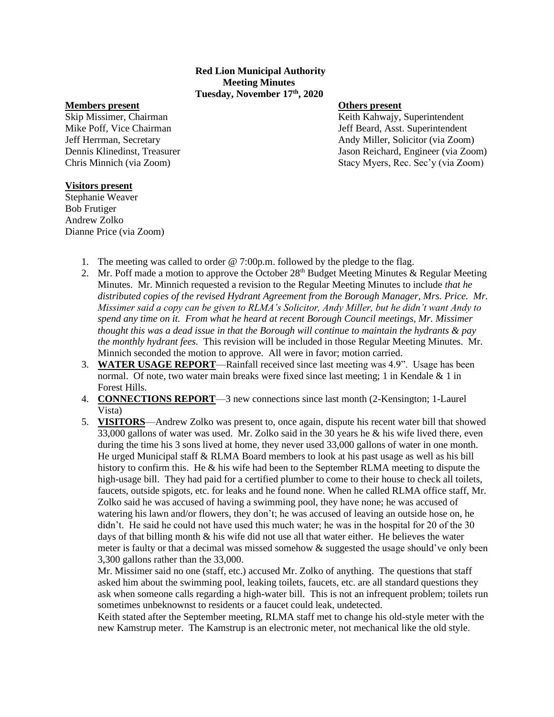**Red Lion Municipal Authority Meeting Minutes Tuesday, November 17th, 2020**

### **Members present Community Community Community Community Community Community Community Community Community Community Community Community Community Community Community Community Community Community Community Community Commu**

Skip Missimer, Chairman Keith Kahwajy, Superintendent Mike Poff, Vice Chairman  $\qquad \qquad$  Jeff Beard, Asst. Superintendent Jeff Herrman, Secretary Andy Miller, Solicitor (via Zoom) Dennis Klinedinst, Treasurer Jason Reichard, Engineer (via Zoom) Chris Minnich (via Zoom) Stacy Myers, Rec. Sec'y (via Zoom)

### **Visitors present**

Stephanie Weaver Bob Frutiger Andrew Zolko Dianne Price (via Zoom)

- 1. The meeting was called to order @ 7:00p.m. followed by the pledge to the flag.
- 2. Mr. Poff made a motion to approve the October  $28<sup>th</sup>$  Budget Meeting Minutes & Regular Meeting Minutes. Mr. Minnich requested a revision to the Regular Meeting Minutes to include *that he distributed copies of the revised Hydrant Agreement from the Borough Manager, Mrs. Price. Mr. Missimer said a copy can be given to RLMA's Solicitor, Andy Miller, but he didn't want Andy to spend any time on it. From what he heard at recent Borough Council meetings, Mr. Missimer thought this was a dead issue in that the Borough will continue to maintain the hydrants & pay the monthly hydrant fees.* This revision will be included in those Regular Meeting Minutes. Mr. Minnich seconded the motion to approve. All were in favor; motion carried.
- 3. **WATER USAGE REPORT**—Rainfall received since last meeting was 4.9". Usage has been normal. Of note, two water main breaks were fixed since last meeting; 1 in Kendale & 1 in Forest Hills.
- 4. **CONNECTIONS REPORT**—3 new connections since last month (2-Kensington; 1-Laurel Vista)
- 5. **VISITORS**—Andrew Zolko was present to, once again, dispute his recent water bill that showed 33,000 gallons of water was used. Mr. Zolko said in the 30 years he & his wife lived there, even during the time his 3 sons lived at home, they never used 33,000 gallons of water in one month. He urged Municipal staff & RLMA Board members to look at his past usage as well as his bill history to confirm this. He & his wife had been to the September RLMA meeting to dispute the high-usage bill. They had paid for a certified plumber to come to their house to check all toilets, faucets, outside spigots, etc. for leaks and he found none. When he called RLMA office staff, Mr. Zolko said he was accused of having a swimming pool, they have none; he was accused of watering his lawn and/or flowers, they don't; he was accused of leaving an outside hose on, he didn't. He said he could not have used this much water; he was in the hospital for 20 of the 30 days of that billing month & his wife did not use all that water either. He believes the water meter is faulty or that a decimal was missed somehow & suggested the usage should've only been 3,300 gallons rather than the 33,000.

Mr. Missimer said no one (staff, etc.) accused Mr. Zolko of anything. The questions that staff asked him about the swimming pool, leaking toilets, faucets, etc. are all standard questions they ask when someone calls regarding a high-water bill. This is not an infrequent problem; toilets run sometimes unbeknownst to residents or a faucet could leak, undetected.

Keith stated after the September meeting, RLMA staff met to change his old-style meter with the new Kamstrup meter. The Kamstrup is an electronic meter, not mechanical like the old style.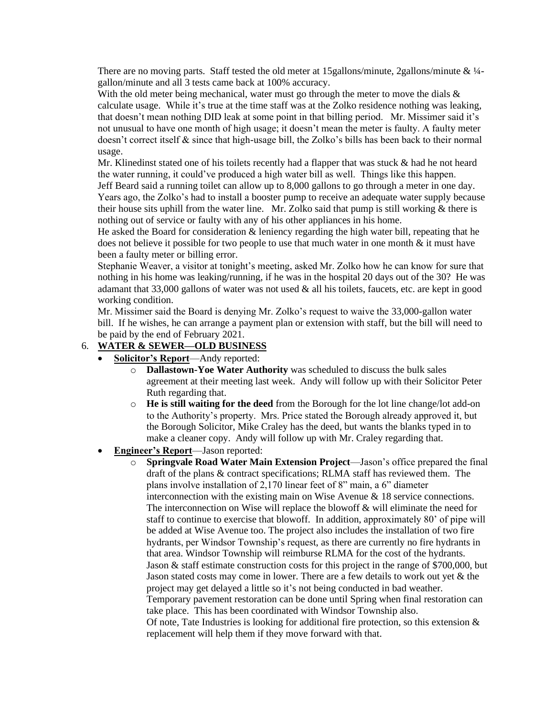There are no moving parts. Staff tested the old meter at 15 gallons/minute, 2 gallons/minute  $\& 1/4$ gallon/minute and all 3 tests came back at 100% accuracy.

With the old meter being mechanical, water must go through the meter to move the dials  $\&$ calculate usage. While it's true at the time staff was at the Zolko residence nothing was leaking, that doesn't mean nothing DID leak at some point in that billing period. Mr. Missimer said it's not unusual to have one month of high usage; it doesn't mean the meter is faulty. A faulty meter doesn't correct itself & since that high-usage bill, the Zolko's bills has been back to their normal usage.

Mr. Klinedinst stated one of his toilets recently had a flapper that was stuck & had he not heard the water running, it could've produced a high water bill as well. Things like this happen.

Jeff Beard said a running toilet can allow up to 8,000 gallons to go through a meter in one day. Years ago, the Zolko's had to install a booster pump to receive an adequate water supply because their house sits uphill from the water line. Mr. Zolko said that pump is still working  $\&$  there is nothing out of service or faulty with any of his other appliances in his home.

He asked the Board for consideration & leniency regarding the high water bill, repeating that he does not believe it possible for two people to use that much water in one month  $\&$  it must have been a faulty meter or billing error.

Stephanie Weaver, a visitor at tonight's meeting, asked Mr. Zolko how he can know for sure that nothing in his home was leaking/running, if he was in the hospital 20 days out of the 30? He was adamant that  $33,000$  gallons of water was not used  $\&$  all his toilets, faucets, etc. are kept in good working condition.

Mr. Missimer said the Board is denying Mr. Zolko's request to waive the 33,000-gallon water bill. If he wishes, he can arrange a payment plan or extension with staff, but the bill will need to be paid by the end of February 2021.

# 6. **WATER & SEWER—OLD BUSINESS**

## • **Solicitor's Report**—Andy reported:

- o **Dallastown-Yoe Water Authority** was scheduled to discuss the bulk sales agreement at their meeting last week. Andy will follow up with their Solicitor Peter Ruth regarding that.
- o **He is still waiting for the deed** from the Borough for the lot line change/lot add-on to the Authority's property. Mrs. Price stated the Borough already approved it, but the Borough Solicitor, Mike Craley has the deed, but wants the blanks typed in to make a cleaner copy. Andy will follow up with Mr. Craley regarding that.
- **Engineer's Report**—Jason reported:
	- o **Springvale Road Water Main Extension Project**—Jason's office prepared the final draft of the plans & contract specifications; RLMA staff has reviewed them. The plans involve installation of 2,170 linear feet of 8" main, a 6" diameter interconnection with the existing main on Wise Avenue & 18 service connections. The interconnection on Wise will replace the blowoff & will eliminate the need for staff to continue to exercise that blowoff. In addition, approximately 80' of pipe will be added at Wise Avenue too. The project also includes the installation of two fire hydrants, per Windsor Township's request, as there are currently no fire hydrants in that area. Windsor Township will reimburse RLMA for the cost of the hydrants. Jason & staff estimate construction costs for this project in the range of \$700,000, but Jason stated costs may come in lower. There are a few details to work out yet  $\&$  the project may get delayed a little so it's not being conducted in bad weather. Temporary pavement restoration can be done until Spring when final restoration can take place. This has been coordinated with Windsor Township also. Of note, Tate Industries is looking for additional fire protection, so this extension  $\&$ replacement will help them if they move forward with that.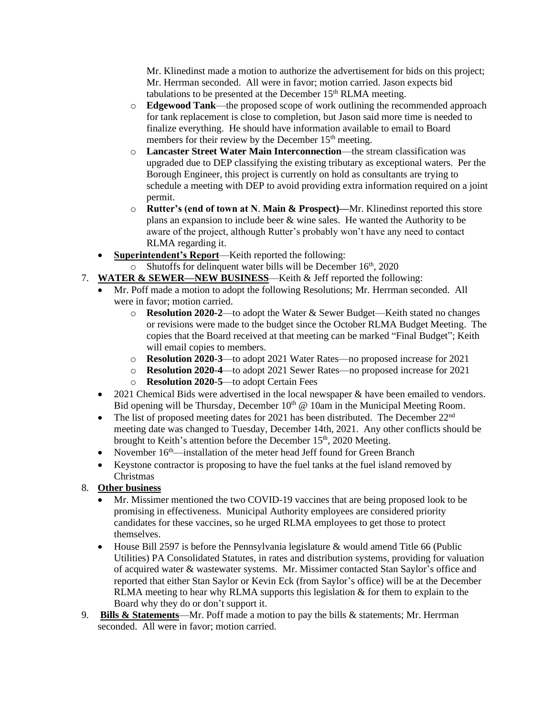Mr. Klinedinst made a motion to authorize the advertisement for bids on this project; Mr. Herrman seconded. All were in favor; motion carried. Jason expects bid tabulations to be presented at the December  $15<sup>th</sup> R LMA$  meeting.

- o **Edgewood Tank**—the proposed scope of work outlining the recommended approach for tank replacement is close to completion, but Jason said more time is needed to finalize everything. He should have information available to email to Board members for their review by the December 15<sup>th</sup> meeting.
- o **Lancaster Street Water Main Interconnection**—the stream classification was upgraded due to DEP classifying the existing tributary as exceptional waters. Per the Borough Engineer, this project is currently on hold as consultants are trying to schedule a meeting with DEP to avoid providing extra information required on a joint permit.
- o **Rutter's (end of town at N**. **Main & Prospect)—**Mr. Klinedinst reported this store plans an expansion to include beer & wine sales. He wanted the Authority to be aware of the project, although Rutter's probably won't have any need to contact RLMA regarding it.
- **Superintendent's Report**—Keith reported the following:
- $\circ$  Shutoffs for delinquent water bills will be December 16<sup>th</sup>, 2020
- 7. **WATER & SEWER—NEW BUSINESS**—Keith & Jeff reported the following:
	- Mr. Poff made a motion to adopt the following Resolutions; Mr. Herrman seconded. All were in favor; motion carried.
		- o **Resolution 2020-2**—to adopt the Water & Sewer Budget—Keith stated no changes or revisions were made to the budget since the October RLMA Budget Meeting. The copies that the Board received at that meeting can be marked "Final Budget"; Keith will email copies to members.
		- o **Resolution 2020**-**3**—to adopt 2021 Water Rates—no proposed increase for 2021
		- o **Resolution 2020**-**4**—to adopt 2021 Sewer Rates—no proposed increase for 2021
		- o **Resolution 2020**-**5**—to adopt Certain Fees
	- 2021 Chemical Bids were advertised in the local newspaper & have been emailed to vendors. Bid opening will be Thursday, December  $10<sup>th</sup>$  @ 10am in the Municipal Meeting Room.
	- The list of proposed meeting dates for 2021 has been distributed. The December  $22<sup>nd</sup>$ meeting date was changed to Tuesday, December 14th, 2021. Any other conflicts should be brought to Keith's attention before the December 15<sup>th</sup>, 2020 Meeting.
	- November  $16<sup>th</sup>$ —installation of the meter head Jeff found for Green Branch
	- Keystone contractor is proposing to have the fuel tanks at the fuel island removed by Christmas
- 8. **Other business**
	- Mr. Missimer mentioned the two COVID-19 vaccines that are being proposed look to be promising in effectiveness. Municipal Authority employees are considered priority candidates for these vaccines, so he urged RLMA employees to get those to protect themselves.
	- House Bill 2597 is before the Pennsylvania legislature & would amend Title 66 (Public Utilities) PA Consolidated Statutes, in rates and distribution systems, providing for valuation of acquired water & wastewater systems. Mr. Missimer contacted Stan Saylor's office and reported that either Stan Saylor or Kevin Eck (from Saylor's office) will be at the December RLMA meeting to hear why RLMA supports this legislation & for them to explain to the Board why they do or don't support it.
- 9. **Bills & Statements**—Mr. Poff made a motion to pay the bills & statements; Mr. Herrman seconded. All were in favor; motion carried.